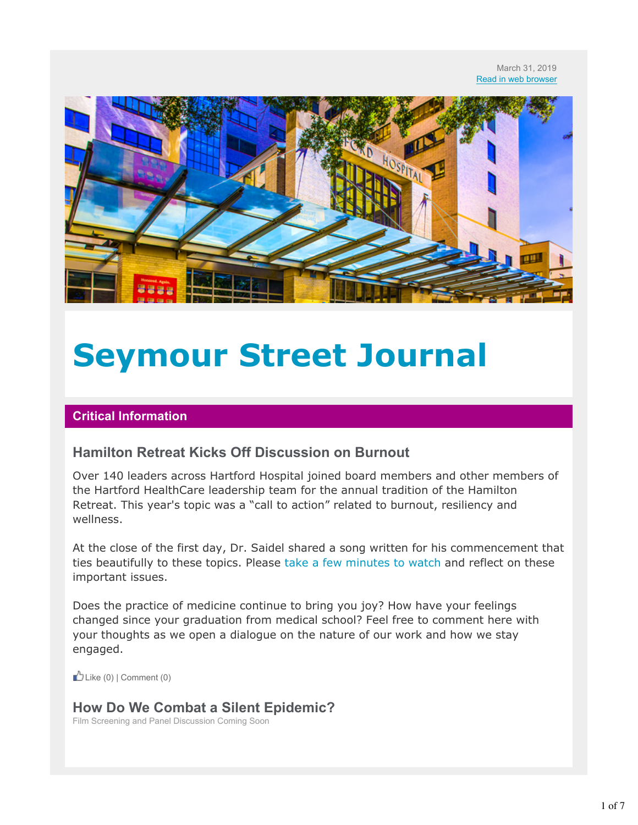

# **Seymour Street Journal**

#### **Critical Information**

#### **Hamilton Retreat Kicks Off Discussion on Burnout**

Over 140 leaders across Hartford Hospital joined board members and other members of the Hartford HealthCare leadership team for the annual tradition of the Hamilton Retreat. This year's topic was a "call to action" related to burnout, resiliency and wellness.

At the close of the first day, Dr. Saidel shared a song written for his commencement that ties beautifully to these topics. Please take a few minutes to watch and reflect on these important issues.

Does the practice of medicine continue to bring you joy? How have your feelings changed since your graduation from medical school? Feel free to comment here with your thoughts as we open a dialogue on the nature of our work and how we stay engaged.

 $\mathbb{L}$  Like (0) | Comment (0)

# **How Do We Combat a Silent Epidemic?**

Film Screening and Panel Discussion Coming Soon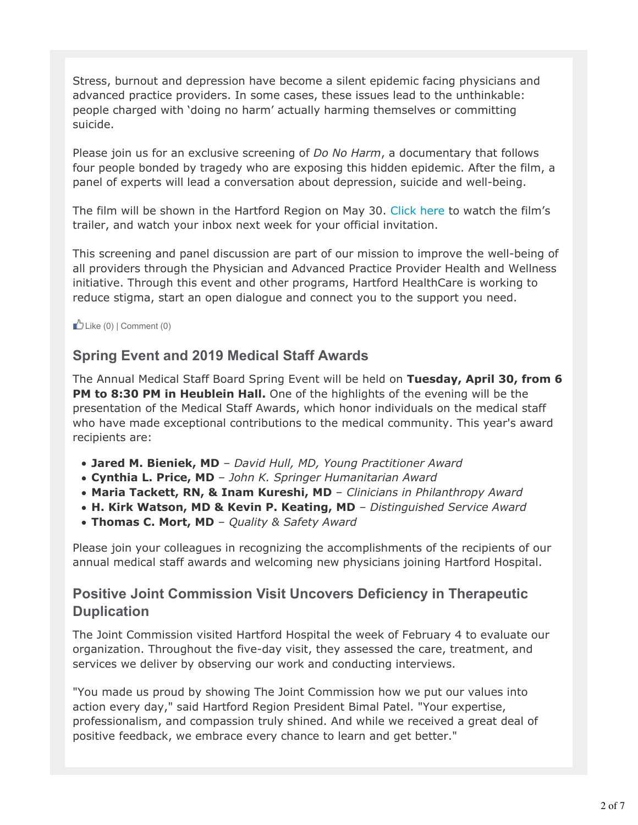Stress, burnout and depression have become a silent epidemic facing physicians and advanced practice providers. In some cases, these issues lead to the unthinkable: people charged with 'doing no harm' actually harming themselves or committing suicide.

Please join us for an exclusive screening of *Do No Harm*, a documentary that follows four people bonded by tragedy who are exposing this hidden epidemic. After the film, a panel of experts will lead a conversation about depression, suicide and well-being.

The film will be shown in the Hartford Region on May 30. Click here to watch the film's trailer, and watch your inbox next week for your official invitation.

This screening and panel discussion are part of our mission to improve the well-being of all providers through the Physician and Advanced Practice Provider Health and Wellness initiative. Through this event and other programs, Hartford HealthCare is working to reduce stigma, start an open dialogue and connect you to the support you need.

 $\bigcup$  Like (0) | Comment (0)

# **Spring Event and 2019 Medical Staff Awards**

The Annual Medical Staff Board Spring Event will be held on **Tuesday, April 30, from 6 PM to 8:30 PM in Heublein Hall.** One of the highlights of the evening will be the presentation of the Medical Staff Awards, which honor individuals on the medical staff who have made exceptional contributions to the medical community. This year's award recipients are:

- **Jared M. Bieniek, MD** *David Hull, MD, Young Practitioner Award*
- **Cynthia L. Price, MD** *John K. Springer Humanitarian Award*
- **Maria Tackett, RN, & Inam Kureshi, MD** *Clinicians in Philanthropy Award*
- **H. Kirk Watson, MD & Kevin P. Keating, MD** *Distinguished Service Award*
- **Thomas C. Mort, MD** *Quality & Safety Award*

Please join your colleagues in recognizing the accomplishments of the recipients of our annual medical staff awards and welcoming new physicians joining Hartford Hospital.

# **Positive Joint Commission Visit Uncovers Deficiency in Therapeutic Duplication**

The Joint Commission visited Hartford Hospital the week of February 4 to evaluate our organization. Throughout the five-day visit, they assessed the care, treatment, and services we deliver by observing our work and conducting interviews.

"You made us proud by showing The Joint Commission how we put our values into action every day," said Hartford Region President Bimal Patel. "Your expertise, professionalism, and compassion truly shined. And while we received a great deal of positive feedback, we embrace every chance to learn and get better."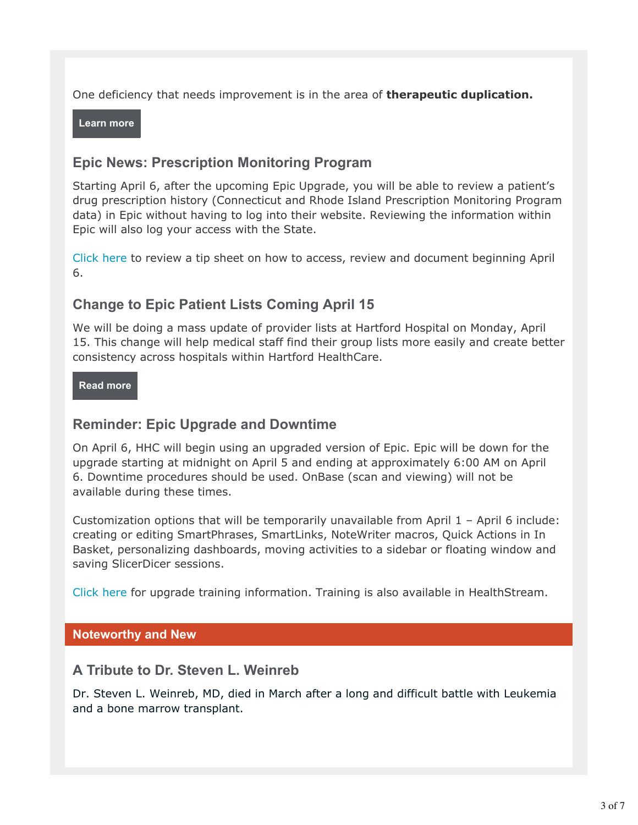One deficiency that needs improvement is in the area of **therapeutic duplication.**

**Learn more**

# **Epic News: Prescription Monitoring Program**

Starting April 6, after the upcoming Epic Upgrade, you will be able to review a patient's drug prescription history (Connecticut and Rhode Island Prescription Monitoring Program data) in Epic without having to log into their website. Reviewing the information within Epic will also log your access with the State.

Click here to review a tip sheet on how to access, review and document beginning April 6.

# **Change to Epic Patient Lists Coming April 15**

We will be doing a mass update of provider lists at Hartford Hospital on Monday, April 15. This change will help medical staff find their group lists more easily and create better consistency across hospitals within Hartford HealthCare.

#### **Read more**

# **Reminder: Epic Upgrade and Downtime**

On April 6, HHC will begin using an upgraded version of Epic. Epic will be down for the upgrade starting at midnight on April 5 and ending at approximately 6:00 AM on April 6. Downtime procedures should be used. OnBase (scan and viewing) will not be available during these times.

Customization options that will be temporarily unavailable from April 1 – April 6 include: creating or editing SmartPhrases, SmartLinks, NoteWriter macros, Quick Actions in In Basket, personalizing dashboards, moving activities to a sidebar or floating window and saving SlicerDicer sessions.

Click here for upgrade training information. Training is also available in HealthStream.

#### **Noteworthy and New**

#### **A Tribute to Dr. Steven L. Weinreb**

Dr. Steven L. Weinreb, MD, died in March after a long and difficult battle with Leukemia and a bone marrow transplant.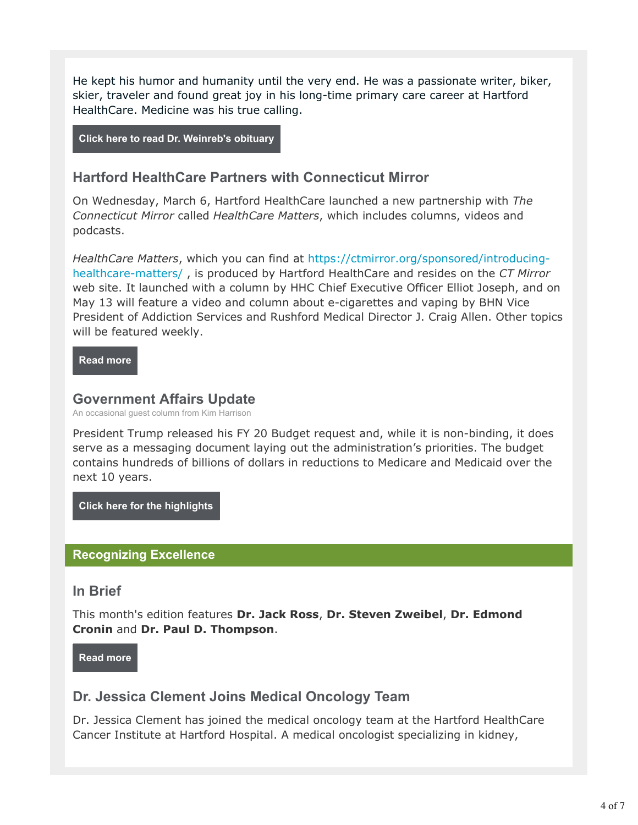He kept his humor and humanity until the very end. He was a passionate writer, biker, skier, traveler and found great joy in his long-time primary care career at Hartford HealthCare. Medicine was his true calling.

**Click here to read Dr. Weinreb's obituary**

### **Hartford HealthCare Partners with Connecticut Mirror**

On Wednesday, March 6, Hartford HealthCare launched a new partnership with *The Connecticut Mirror* called *HealthCare Matters*, which includes columns, videos and podcasts.

*HealthCare Matters*, which you can find at https://ctmirror.org/sponsored/introducinghealthcare-matters/ , is produced by Hartford HealthCare and resides on the *CT Mirror* web site. It launched with a column by HHC Chief Executive Officer Elliot Joseph, and on May 13 will feature a video and column about e-cigarettes and vaping by BHN Vice President of Addiction Services and Rushford Medical Director J. Craig Allen. Other topics will be featured weekly.

**Read more**

#### **Government Affairs Update**

An occasional guest column from Kim Harrison

President Trump released his FY 20 Budget request and, while it is non-binding, it does serve as a messaging document laying out the administration's priorities. The budget contains hundreds of billions of dollars in reductions to Medicare and Medicaid over the next 10 years.

**Click here for the highlights**

#### **Recognizing Excellence**

#### **In Brief**

This month's edition features **Dr. Jack Ross**, **Dr. Steven Zweibel**, **Dr. Edmond Cronin** and **Dr. Paul D. Thompson**.

**Read more**

# **Dr. Jessica Clement Joins Medical Oncology Team**

Dr. Jessica Clement has joined the medical oncology team at the Hartford HealthCare Cancer Institute at Hartford Hospital. A medical oncologist specializing in kidney,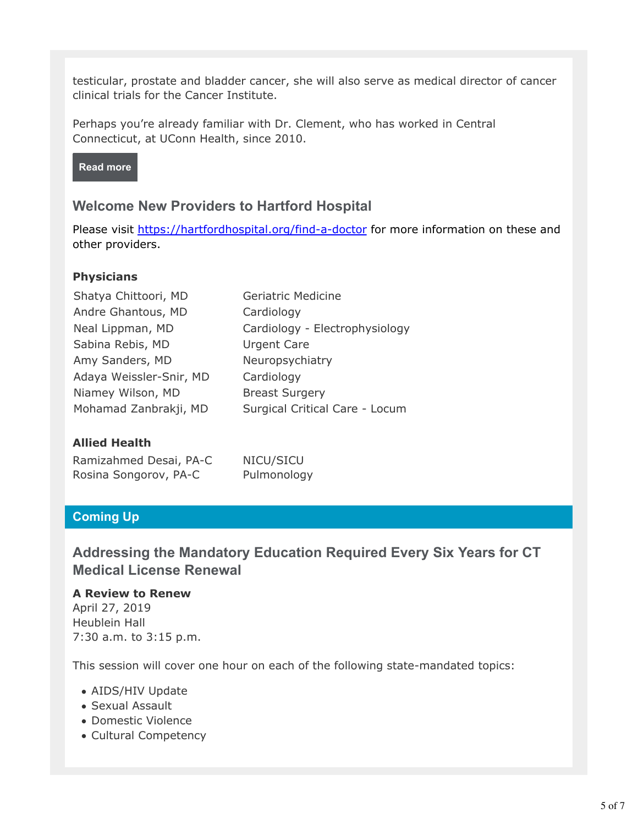testicular, prostate and bladder cancer, she will also serve as medical director of cancer clinical trials for the Cancer Institute.

Perhaps you're already familiar with Dr. Clement, who has worked in Central Connecticut, at UConn Health, since 2010.



#### **Welcome New Providers to Hartford Hospital**

Please visit https://hartfordhospital.org/find-a-doctor for more information on these and other providers.

#### **Physicians**

| Shatya Chittoori, MD    | <b>Geriatric Medicine</b>      |
|-------------------------|--------------------------------|
| Andre Ghantous, MD      | Cardiology                     |
| Neal Lippman, MD        | Cardiology - Electrophysiology |
| Sabina Rebis, MD        | <b>Urgent Care</b>             |
| Amy Sanders, MD         | Neuropsychiatry                |
| Adaya Weissler-Snir, MD | Cardiology                     |
| Niamey Wilson, MD       | <b>Breast Surgery</b>          |
| Mohamad Zanbrakji, MD   | Surgical Critical Care - Locum |
|                         |                                |

#### **Allied Health**

| Ramizahmed Desai, PA-C | NICU/SICU   |
|------------------------|-------------|
| Rosina Songorov, PA-C  | Pulmonology |

#### **Coming Up**

# **Addressing the Mandatory Education Required Every Six Years for CT Medical License Renewal**

#### **A Review to Renew**

April 27, 2019 Heublein Hall 7:30 a.m. to 3:15 p.m.

This session will cover one hour on each of the following state-mandated topics:

- AIDS/HIV Update
- Sexual Assault
- Domestic Violence
- Cultural Competency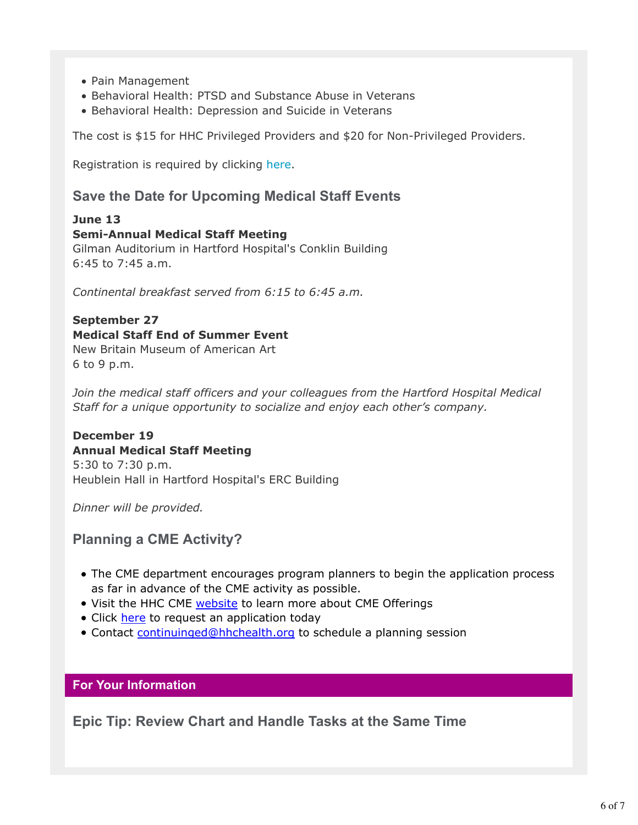- Pain Management
- Behavioral Health: PTSD and Substance Abuse in Veterans
- Behavioral Health: Depression and Suicide in Veterans

The cost is \$15 for HHC Privileged Providers and \$20 for Non-Privileged Providers.

Registration is required by clicking here.

# **Save the Date for Upcoming Medical Staff Events**

**June 13 Semi-Annual Medical Staff Meeting** Gilman Auditorium in Hartford Hospital's Conklin Building 6:45 to 7:45 a.m.

*Continental breakfast served from 6:15 to 6:45 a.m.*

#### **September 27 Medical Staff End of Summer Event**

New Britain Museum of American Art 6 to 9 p.m.

*Join the medical staff officers and your colleagues from the Hartford Hospital Medical Staff for a unique opportunity to socialize and enjoy each other's company.*

#### **December 19 Annual Medical Staff Meeting**

5:30 to 7:30 p.m. Heublein Hall in Hartford Hospital's ERC Building

*Dinner will be provided.*

# **Planning a CME Activity?**

- The CME department encourages program planners to begin the application process as far in advance of the CME activity as possible.
- Visit the HHC CME website to learn more about CME Offerings
- Click here to request an application today
- Contact continuinged@hhchealth.org to schedule a planning session

#### **For Your Information**

**Epic Tip: Review Chart and Handle Tasks at the Same Time**